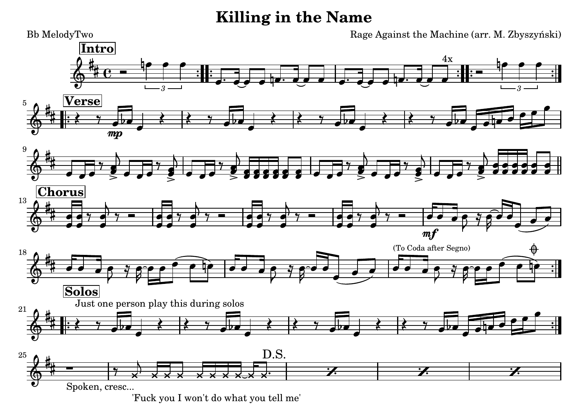## **Killing in the Name**